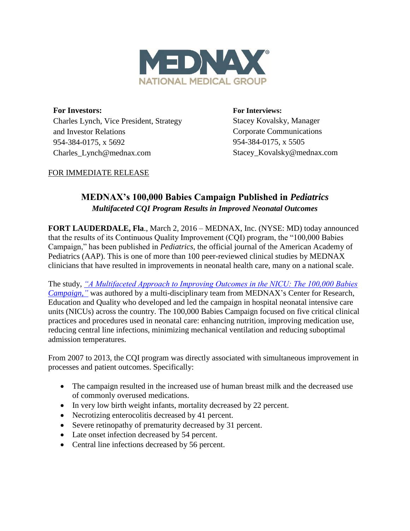

**For Investors:** Charles Lynch, Vice President, Strategy and Investor Relations 954-384-0175, x 5692 Charles\_Lynch@mednax.com

**For Interviews:** Stacey Kovalsky, Manager Corporate Communications 954-384-0175, x 5505 Stacey\_Kovalsky@mednax.com

## FOR IMMEDIATE RELEASE

# **MEDNAX's 100,000 Babies Campaign Published in** *Pediatrics Multifaceted CQI Program Results in Improved Neonatal Outcomes*

**FORT LAUDERDALE, Fla**., March 2, 2016 – MEDNAX, Inc. (NYSE: MD) today announced that the results of its Continuous Quality Improvement (CQI) program, the "100,000 Babies Campaign," has been published in *Pediatrics,* the official journal of the American Academy of Pediatrics (AAP). This is one of more than 100 peer-reviewed clinical studies by MEDNAX clinicians that have resulted in improvements in neonatal health care, many on a national scale.

The study, *["A Multifaceted Approach to Improving Outcomes in the NICU: The 100,000 Babies](file://netappfile01/vol_tree/SHARED/Public%20Relations/Press%20Releases/2016/100K%20Press%20Release/TBD)  Campaign,*" was authored by a multi-disciplinary team from MEDNAX's Center for Research, Education and Quality who developed and led the campaign in hospital neonatal intensive care units (NICUs) across the country. The 100,000 Babies Campaign focused on five critical clinical practices and procedures used in neonatal care: enhancing nutrition, improving medication use, reducing central line infections, minimizing mechanical ventilation and reducing suboptimal admission temperatures.

From 2007 to 2013, the CQI program was directly associated with simultaneous improvement in processes and patient outcomes. Specifically:

- The campaign resulted in the increased use of human breast milk and the decreased use of commonly overused medications.
- In very low birth weight infants, mortality decreased by 22 percent.
- Necrotizing enterocolitis decreased by 41 percent.
- Severe retinopathy of prematurity decreased by 31 percent.
- Late onset infection decreased by 54 percent.
- Central line infections decreased by 56 percent.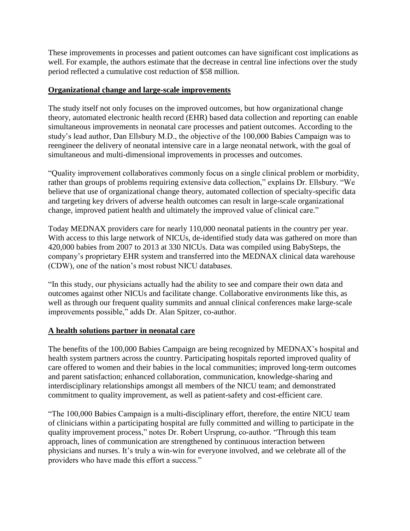These improvements in processes and patient outcomes can have significant cost implications as well. For example, the authors estimate that the decrease in central line infections over the study period reflected a cumulative cost reduction of \$58 million.

### **Organizational change and large-scale improvements**

The study itself not only focuses on the improved outcomes, but how organizational change theory, automated electronic health record (EHR) based data collection and reporting can enable simultaneous improvements in neonatal care processes and patient outcomes. According to the study's lead author, Dan Ellsbury M.D., the objective of the 100,000 Babies Campaign was to reengineer the delivery of neonatal intensive care in a large neonatal network, with the goal of simultaneous and multi-dimensional improvements in processes and outcomes.

"Quality improvement collaboratives commonly focus on a single clinical problem or morbidity, rather than groups of problems requiring extensive data collection," explains Dr. Ellsbury. "We believe that use of organizational change theory, automated collection of specialty-specific data and targeting key drivers of adverse health outcomes can result in large-scale organizational change, improved patient health and ultimately the improved value of clinical care."

Today MEDNAX providers care for nearly 110,000 neonatal patients in the country per year. With access to this large network of NICUs, de-identified study data was gathered on more than 420,000 babies from 2007 to 2013 at 330 NICUs. Data was compiled using BabySteps, the company's proprietary EHR system and transferred into the MEDNAX clinical data warehouse (CDW), one of the nation's most robust NICU databases.

"In this study, our physicians actually had the ability to see and compare their own data and outcomes against other NICUs and facilitate change. Collaborative environments like this, as well as through our frequent quality summits and annual clinical conferences make large-scale improvements possible," adds Dr. Alan Spitzer, co-author.

### **A health solutions partner in neonatal care**

The benefits of the 100,000 Babies Campaign are being recognized by MEDNAX's hospital and health system partners across the country. Participating hospitals reported improved quality of care offered to women and their babies in the local communities; improved long-term outcomes and parent satisfaction; enhanced collaboration, communication, knowledge-sharing and interdisciplinary relationships amongst all members of the NICU team; and demonstrated commitment to quality improvement, as well as patient-safety and cost-efficient care.

"The 100,000 Babies Campaign is a multi-disciplinary effort, therefore, the entire NICU team of clinicians within a participating hospital are fully committed and willing to participate in the quality improvement process," notes Dr. Robert Ursprung, co-author. "Through this team approach, lines of communication are strengthened by continuous interaction between physicians and nurses. It's truly a win-win for everyone involved, and we celebrate all of the providers who have made this effort a success."